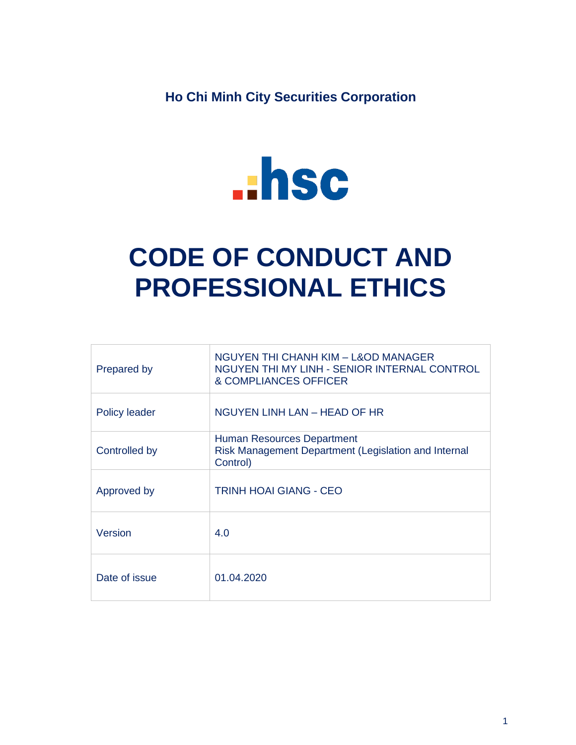**Ho Chi Minh City Securities Corporation**



# **CODE OF CONDUCT AND PROFESSIONAL ETHICS**

| Prepared by          | NGUYEN THI CHANH KIM – L&OD MANAGER<br>NGUYEN THI MY LINH - SENIOR INTERNAL CONTROL<br>& COMPLIANCES OFFICER |
|----------------------|--------------------------------------------------------------------------------------------------------------|
| <b>Policy leader</b> | NGUYEN LINH LAN – HEAD OF HR                                                                                 |
| Controlled by        | Human Resources Department<br>Risk Management Department (Legislation and Internal<br>Control)               |
| Approved by          | TRINH HOAI GIANG - CEO                                                                                       |
| Version              | 4.0                                                                                                          |
| Date of issue        | 01.04.2020                                                                                                   |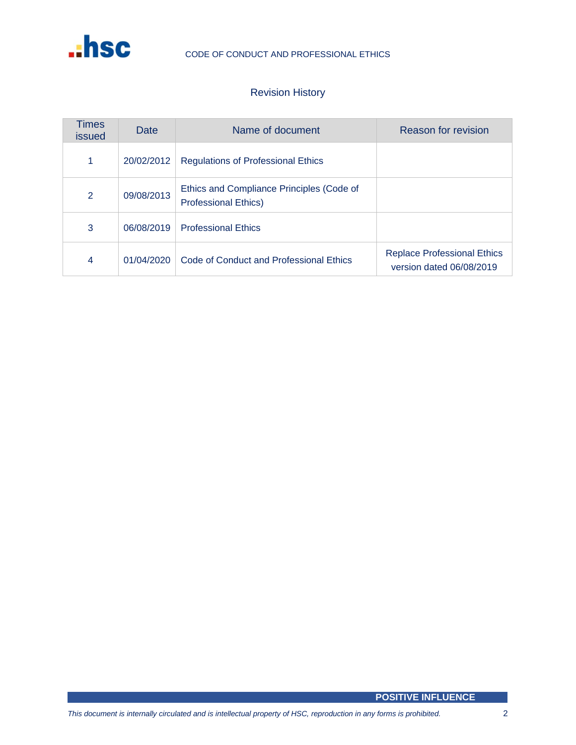

# Revision History

| Times<br><i>issued</i> | Date       | Name of document                                                         | Reason for revision                                            |
|------------------------|------------|--------------------------------------------------------------------------|----------------------------------------------------------------|
| 1                      | 20/02/2012 | <b>Regulations of Professional Ethics</b>                                |                                                                |
| 2                      | 09/08/2013 | Ethics and Compliance Principles (Code of<br><b>Professional Ethics)</b> |                                                                |
| 3                      | 06/08/2019 | <b>Professional Ethics</b>                                               |                                                                |
| 4                      | 01/04/2020 | Code of Conduct and Professional Ethics                                  | <b>Replace Professional Ethics</b><br>version dated 06/08/2019 |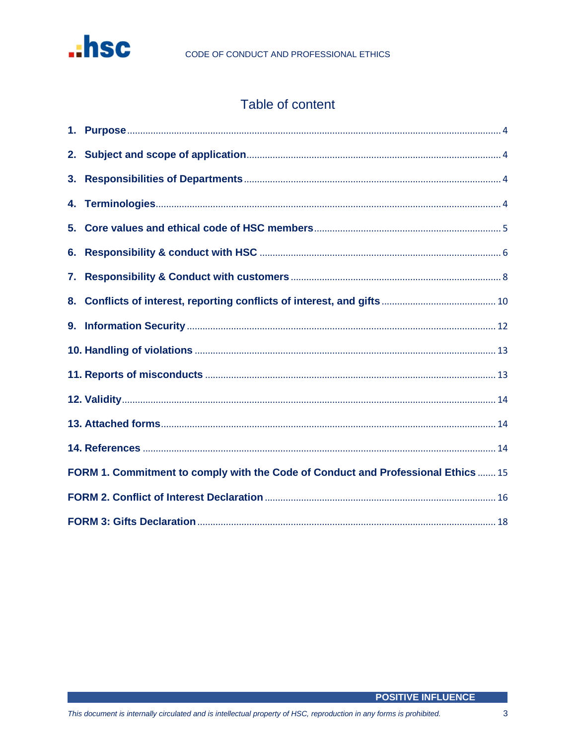

# Table of content

| FORM 1. Commitment to comply with the Code of Conduct and Professional Ethics  15 |  |  |  |  |
|-----------------------------------------------------------------------------------|--|--|--|--|
|                                                                                   |  |  |  |  |
|                                                                                   |  |  |  |  |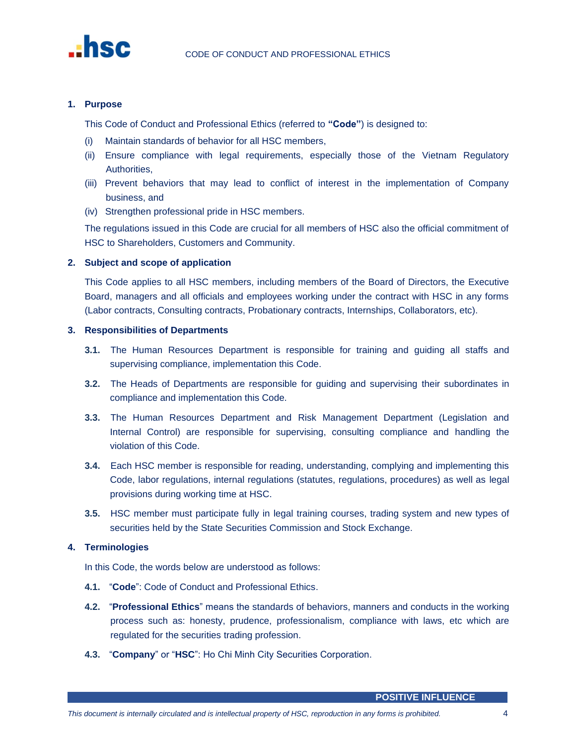

# <span id="page-3-0"></span>**1. Purpose**

This Code of Conduct and Professional Ethics (referred to **"Code"**) is designed to:

- (i) Maintain standards of behavior for all HSC members,
- (ii) Ensure compliance with legal requirements, especially those of the Vietnam Regulatory Authorities,
- (iii) Prevent behaviors that may lead to conflict of interest in the implementation of Company business, and
- (iv) Strengthen professional pride in HSC members.

The regulations issued in this Code are crucial for all members of HSC also the official commitment of HSC to Shareholders, Customers and Community.

# <span id="page-3-1"></span>**2. Subject and scope of application**

This Code applies to all HSC members, including members of the Board of Directors, the Executive Board, managers and all officials and employees working under the contract with HSC in any forms (Labor contracts, Consulting contracts, Probationary contracts, Internships, Collaborators, etc).

# <span id="page-3-2"></span>**3. Responsibilities of Departments**

- **3.1.** The Human Resources Department is responsible for training and guiding all staffs and supervising compliance, implementation this Code.
- **3.2.** The Heads of Departments are responsible for guiding and supervising their subordinates in compliance and implementation this Code.
- **3.3.** The Human Resources Department and Risk Management Department (Legislation and Internal Control) are responsible for supervising, consulting compliance and handling the violation of this Code.
- **3.4.** Each HSC member is responsible for reading, understanding, complying and implementing this Code, labor regulations, internal regulations (statutes, regulations, procedures) as well as legal provisions during working time at HSC.
- **3.5.** HSC member must participate fully in legal training courses, trading system and new types of securities held by the State Securities Commission and Stock Exchange.

# <span id="page-3-3"></span>**4. Terminologies**

In this Code, the words below are understood as follows:

- **4.1.** "**Code**": Code of Conduct and Professional Ethics.
- **4.2.** "**Professional Ethics**" means the standards of behaviors, manners and conducts in the working process such as: honesty, prudence, professionalism, compliance with laws, etc which are regulated for the securities trading profession.
- **4.3.** "**Company**" or "**HSC**": Ho Chi Minh City Securities Corporation.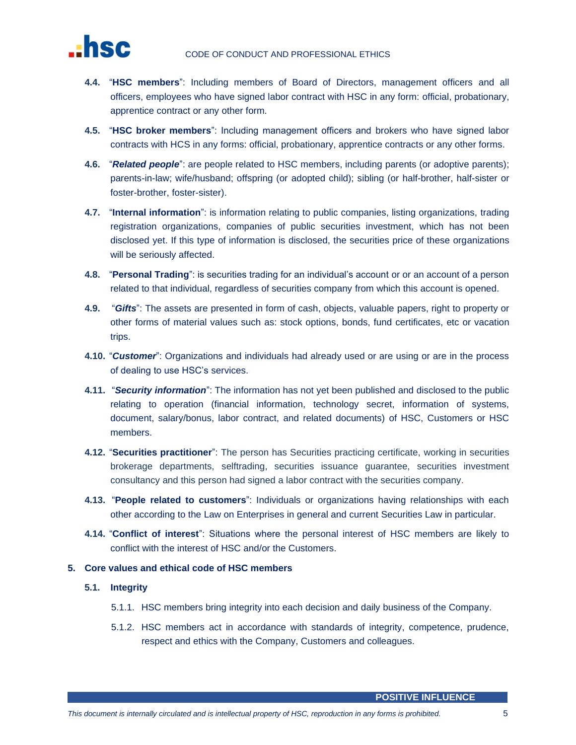

- **4.4.** "**HSC members**": Including members of Board of Directors, management officers and all officers, employees who have signed labor contract with HSC in any form: official, probationary, apprentice contract or any other form.
- **4.5.** "**HSC broker members**": Including management officers and brokers who have signed labor contracts with HCS in any forms: official, probationary, apprentice contracts or any other forms.
- **4.6.** "*Related people*": are people related to HSC members, including parents (or adoptive parents); parents-in-law; wife/husband; offspring (or adopted child); sibling (or half-brother, half-sister or foster-brother, foster-sister).
- **4.7.** "**Internal information**": is information relating to public companies, listing organizations, trading registration organizations, companies of public securities investment, which has not been disclosed yet. If this type of information is disclosed, the securities price of these organizations will be seriously affected.
- **4.8.** "**Personal Trading**": is securities trading for an individual's account or or an account of a person related to that individual, regardless of securities company from which this account is opened.
- **4.9.** "*Gifts*": The assets are presented in form of cash, objects, valuable papers, right to property or other forms of material values such as: stock options, bonds, fund certificates, etc or vacation trips.
- **4.10.** "*Customer*": Organizations and individuals had already used or are using or are in the process of dealing to use HSC's services.
- **4.11.** "*Security information*": The information has not yet been published and disclosed to the public relating to operation (financial information, technology secret, information of systems, document, salary/bonus, labor contract, and related documents) of HSC, Customers or HSC members.
- **4.12.** "**Securities practitioner**": The person has Securities practicing certificate, working in securities brokerage departments, selftrading, securities issuance guarantee, securities investment consultancy and this person had signed a labor contract with the securities company.
- **4.13.** "**People related to customers**": Individuals or organizations having relationships with each other according to the Law on Enterprises in general and current Securities Law in particular.
- **4.14.** "**Conflict of interest**": Situations where the personal interest of HSC members are likely to conflict with the interest of HSC and/or the Customers.

# <span id="page-4-0"></span>**5. Core values and ethical code of HSC members**

- **5.1. Integrity**
	- 5.1.1. HSC members bring integrity into each decision and daily business of the Company.
	- 5.1.2. HSC members act in accordance with standards of integrity, competence, prudence, respect and ethics with the Company, Customers and colleagues.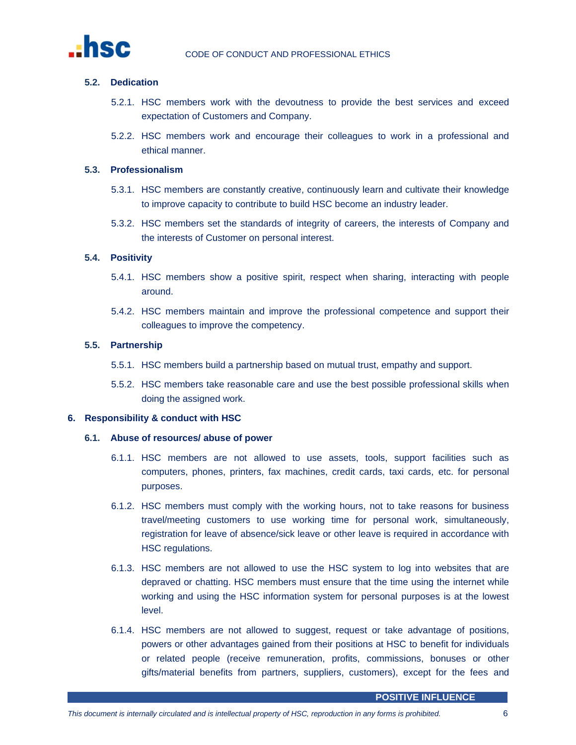

# **5.2. Dedication**

- 5.2.1. HSC members work with the devoutness to provide the best services and exceed expectation of Customers and Company.
- 5.2.2. HSC members work and encourage their colleagues to work in a professional and ethical manner.

# **5.3. Professionalism**

- 5.3.1. HSC members are constantly creative, continuously learn and cultivate their knowledge to improve capacity to contribute to build HSC become an industry leader.
- 5.3.2. HSC members set the standards of integrity of careers, the interests of Company and the interests of Customer on personal interest.

# **5.4. Positivity**

- 5.4.1. HSC members show a positive spirit, respect when sharing, interacting with people around.
- 5.4.2. HSC members maintain and improve the professional competence and support their colleagues to improve the competency.

#### **5.5. Partnership**

- 5.5.1. HSC members build a partnership based on mutual trust, empathy and support.
- 5.5.2. HSC members take reasonable care and use the best possible professional skills when doing the assigned work.

# <span id="page-5-0"></span>**6. Responsibility & conduct with HSC**

#### **6.1. Abuse of resources/ abuse of power**

- 6.1.1. HSC members are not allowed to use assets, tools, support facilities such as computers, phones, printers, fax machines, credit cards, taxi cards, etc. for personal purposes.
- 6.1.2. HSC members must comply with the working hours, not to take reasons for business travel/meeting customers to use working time for personal work, simultaneously, registration for leave of absence/sick leave or other leave is required in accordance with HSC regulations.
- 6.1.3. HSC members are not allowed to use the HSC system to log into websites that are depraved or chatting. HSC members must ensure that the time using the internet while working and using the HSC information system for personal purposes is at the lowest level.
- 6.1.4. HSC members are not allowed to suggest, request or take advantage of positions, powers or other advantages gained from their positions at HSC to benefit for individuals or related people (receive remuneration, profits, commissions, bonuses or other gifts/material benefits from partners, suppliers, customers), except for the fees and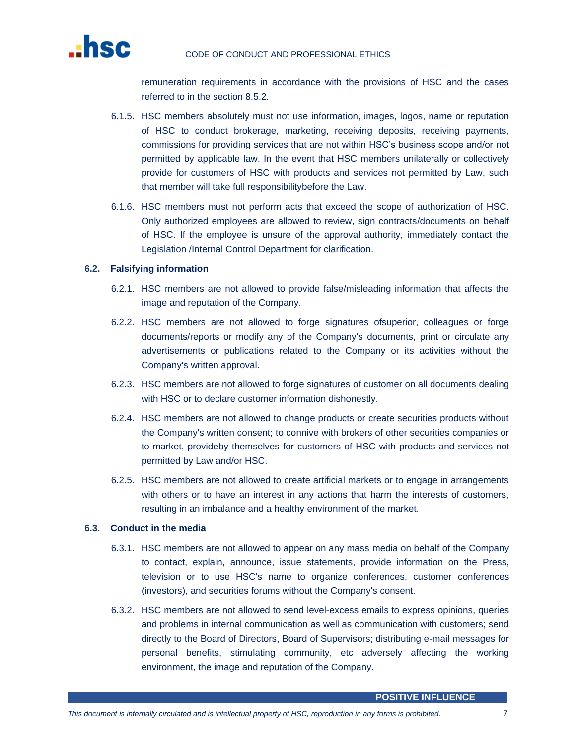

remuneration requirements in accordance with the provisions of HSC and the cases referred to in the section 8.5.2.

- 6.1.5. HSC members absolutely must not use information, images, logos, name or reputation of HSC to conduct brokerage, marketing, receiving deposits, receiving payments, commissions for providing services that are not within HSC's business scope and/or not permitted by applicable law. In the event that HSC members unilaterally or collectively provide for customers of HSC with products and services not permitted by Law, such that member will take full responsibilitybefore the Law.
- 6.1.6. HSC members must not perform acts that exceed the scope of authorization of HSC. Only authorized employees are allowed to review, sign contracts/documents on behalf of HSC. If the employee is unsure of the approval authority, immediately contact the Legislation /Internal Control Department for clarification.

# **6.2. Falsifying information**

- 6.2.1. HSC members are not allowed to provide false/misleading information that affects the image and reputation of the Company.
- 6.2.2. HSC members are not allowed to forge signatures ofsuperior, colleagues or forge documents/reports or modify any of the Company's documents, print or circulate any advertisements or publications related to the Company or its activities without the Company's written approval.
- 6.2.3. HSC members are not allowed to forge signatures of customer on all documents dealing with HSC or to declare customer information dishonestly.
- 6.2.4. HSC members are not allowed to change products or create securities products without the Company's written consent; to connive with brokers of other securities companies or to market, provideby themselves for customers of HSC with products and services not permitted by Law and/or HSC.
- 6.2.5. HSC members are not allowed to create artificial markets or to engage in arrangements with others or to have an interest in any actions that harm the interests of customers, resulting in an imbalance and a healthy environment of the market.

# **6.3. Conduct in the media**

- 6.3.1. HSC members are not allowed to appear on any mass media on behalf of the Company to contact, explain, announce, issue statements, provide information on the Press, television or to use HSC's name to organize conferences, customer conferences (investors), and securities forums without the Company's consent.
- 6.3.2. HSC members are not allowed to send level-excess emails to express opinions, queries and problems in internal communication as well as communication with customers; send directly to the Board of Directors, Board of Supervisors; distributing e-mail messages for personal benefits, stimulating community, etc adversely affecting the working environment, the image and reputation of the Company.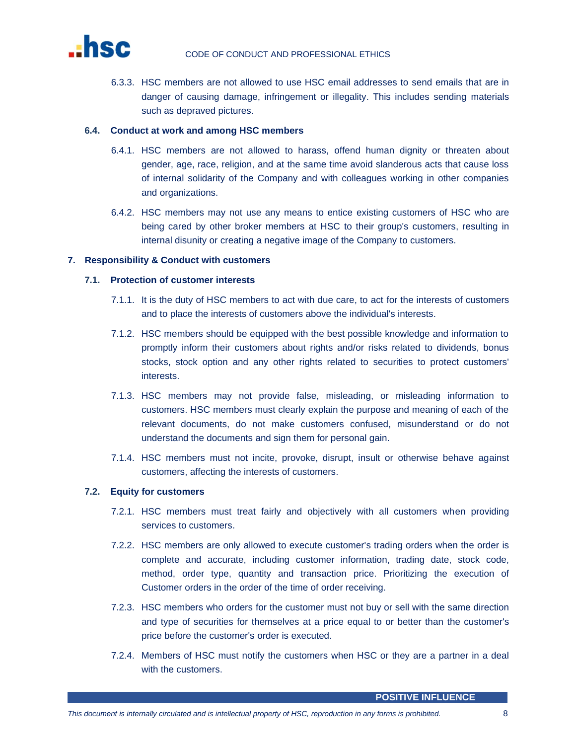

6.3.3. HSC members are not allowed to use HSC email addresses to send emails that are in danger of causing damage, infringement or illegality. This includes sending materials such as depraved pictures.

# **6.4. Conduct at work and among HSC members**

- 6.4.1. HSC members are not allowed to harass, offend human dignity or threaten about gender, age, race, religion, and at the same time avoid slanderous acts that cause loss of internal solidarity of the Company and with colleagues working in other companies and organizations.
- 6.4.2. HSC members may not use any means to entice existing customers of HSC who are being cared by other broker members at HSC to their group's customers, resulting in internal disunity or creating a negative image of the Company to customers.

# <span id="page-7-0"></span>**7. Responsibility & Conduct with customers**

#### **7.1. Protection of customer interests**

- 7.1.1. It is the duty of HSC members to act with due care, to act for the interests of customers and to place the interests of customers above the individual's interests.
- 7.1.2. HSC members should be equipped with the best possible knowledge and information to promptly inform their customers about rights and/or risks related to dividends, bonus stocks, stock option and any other rights related to securities to protect customers' interests.
- 7.1.3. HSC members may not provide false, misleading, or misleading information to customers. HSC members must clearly explain the purpose and meaning of each of the relevant documents, do not make customers confused, misunderstand or do not understand the documents and sign them for personal gain.
- 7.1.4. HSC members must not incite, provoke, disrupt, insult or otherwise behave against customers, affecting the interests of customers.

# **7.2. Equity for customers**

- 7.2.1. HSC members must treat fairly and objectively with all customers when providing services to customers.
- 7.2.2. HSC members are only allowed to execute customer's trading orders when the order is complete and accurate, including customer information, trading date, stock code, method, order type, quantity and transaction price. Prioritizing the execution of Customer orders in the order of the time of order receiving.
- 7.2.3. HSC members who orders for the customer must not buy or sell with the same direction and type of securities for themselves at a price equal to or better than the customer's price before the customer's order is executed.
- 7.2.4. Members of HSC must notify the customers when HSC or they are a partner in a deal with the customers.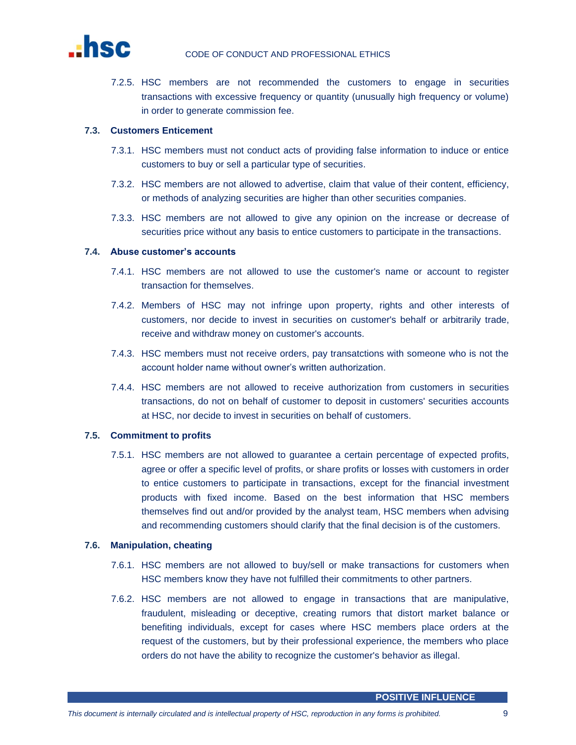

7.2.5. HSC members are not recommended the customers to engage in securities transactions with excessive frequency or quantity (unusually high frequency or volume) in order to generate commission fee.

# **7.3. Customers Enticement**

- 7.3.1. HSC members must not conduct acts of providing false information to induce or entice customers to buy or sell a particular type of securities.
- 7.3.2. HSC members are not allowed to advertise, claim that value of their content, efficiency, or methods of analyzing securities are higher than other securities companies.
- 7.3.3. HSC members are not allowed to give any opinion on the increase or decrease of securities price without any basis to entice customers to participate in the transactions.

#### **7.4. Abuse customer's accounts**

- 7.4.1. HSC members are not allowed to use the customer's name or account to register transaction for themselves.
- 7.4.2. Members of HSC may not infringe upon property, rights and other interests of customers, nor decide to invest in securities on customer's behalf or arbitrarily trade, receive and withdraw money on customer's accounts.
- 7.4.3. HSC members must not receive orders, pay transatctions with someone who is not the account holder name without owner's written authorization.
- 7.4.4. HSC members are not allowed to receive authorization from customers in securities transactions, do not on behalf of customer to deposit in customers' securities accounts at HSC, nor decide to invest in securities on behalf of customers.

# **7.5. Commitment to profits**

7.5.1. HSC members are not allowed to guarantee a certain percentage of expected profits, agree or offer a specific level of profits, or share profits or losses with customers in order to entice customers to participate in transactions, except for the financial investment products with fixed income. Based on the best information that HSC members themselves find out and/or provided by the analyst team, HSC members when advising and recommending customers should clarify that the final decision is of the customers.

# **7.6. Manipulation, cheating**

- 7.6.1. HSC members are not allowed to buy/sell or make transactions for customers when HSC members know they have not fulfilled their commitments to other partners.
- 7.6.2. HSC members are not allowed to engage in transactions that are manipulative, fraudulent, misleading or deceptive, creating rumors that distort market balance or benefiting individuals, except for cases where HSC members place orders at the request of the customers, but by their professional experience, the members who place orders do not have the ability to recognize the customer's behavior as illegal.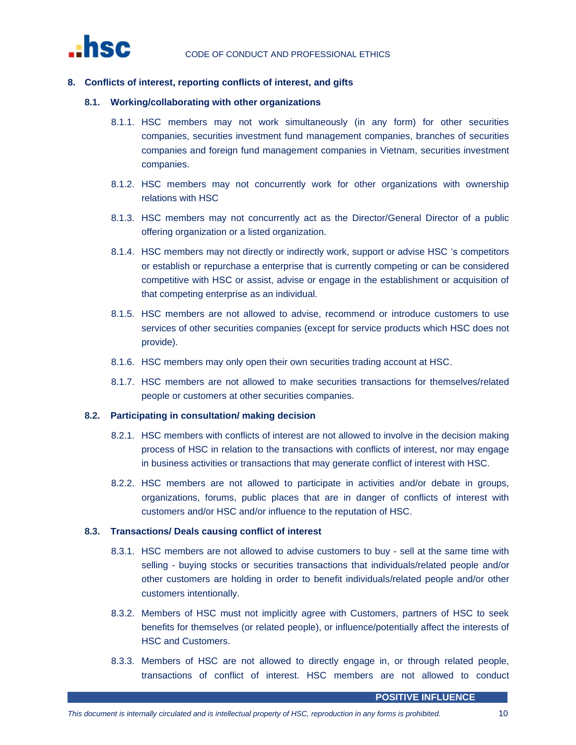

# <span id="page-9-0"></span>**8. Conflicts of interest, reporting conflicts of interest, and gifts**

#### **8.1. Working/collaborating with other organizations**

- 8.1.1. HSC members may not work simultaneously (in any form) for other securities companies, securities investment fund management companies, branches of securities companies and foreign fund management companies in Vietnam, securities investment companies.
- 8.1.2. HSC members may not concurrently work for other organizations with ownership relations with HSC
- 8.1.3. HSC members may not concurrently act as the Director/General Director of a public offering organization or a listed organization.
- 8.1.4. HSC members may not directly or indirectly work, support or advise HSC 's competitors or establish or repurchase a enterprise that is currently competing or can be considered competitive with HSC or assist, advise or engage in the establishment or acquisition of that competing enterprise as an individual.
- 8.1.5. HSC members are not allowed to advise, recommend or introduce customers to use services of other securities companies (except for service products which HSC does not provide).
- 8.1.6. HSC members may only open their own securities trading account at HSC.
- 8.1.7. HSC members are not allowed to make securities transactions for themselves/related people or customers at other securities companies.

# **8.2. Participating in consultation/ making decision**

- 8.2.1. HSC members with conflicts of interest are not allowed to involve in the decision making process of HSC in relation to the transactions with conflicts of interest, nor may engage in business activities or transactions that may generate conflict of interest with HSC.
- 8.2.2. HSC members are not allowed to participate in activities and/or debate in groups, organizations, forums, public places that are in danger of conflicts of interest with customers and/or HSC and/or influence to the reputation of HSC.

# **8.3. Transactions/ Deals causing conflict of interest**

- 8.3.1. HSC members are not allowed to advise customers to buy sell at the same time with selling - buying stocks or securities transactions that individuals/related people and/or other customers are holding in order to benefit individuals/related people and/or other customers intentionally.
- 8.3.2. Members of HSC must not implicitly agree with Customers, partners of HSC to seek benefits for themselves (or related people), or influence/potentially affect the interests of HSC and Customers.
- 8.3.3. Members of HSC are not allowed to directly engage in, or through related people, transactions of conflict of interest. HSC members are not allowed to conduct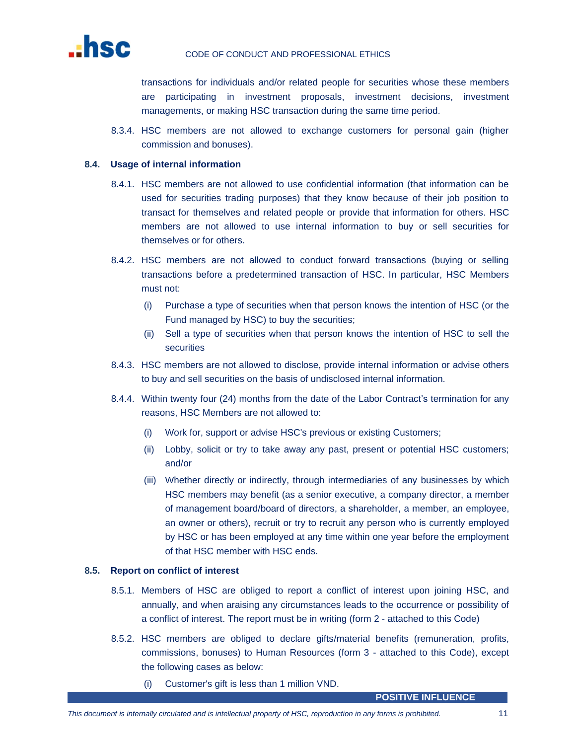

transactions for individuals and/or related people for securities whose these members are participating in investment proposals, investment decisions, investment managements, or making HSC transaction during the same time period.

8.3.4. HSC members are not allowed to exchange customers for personal gain (higher commission and bonuses).

#### **8.4. Usage of internal information**

- 8.4.1. HSC members are not allowed to use confidential information (that information can be used for securities trading purposes) that they know because of their job position to transact for themselves and related people or provide that information for others. HSC members are not allowed to use internal information to buy or sell securities for themselves or for others.
- 8.4.2. HSC members are not allowed to conduct forward transactions (buying or selling transactions before a predetermined transaction of HSC. In particular, HSC Members must not:
	- (i) Purchase a type of securities when that person knows the intention of HSC (or the Fund managed by HSC) to buy the securities;
	- (ii) Sell a type of securities when that person knows the intention of HSC to sell the securities
- 8.4.3. HSC members are not allowed to disclose, provide internal information or advise others to buy and sell securities on the basis of undisclosed internal information.
- 8.4.4. Within twenty four (24) months from the date of the Labor Contract's termination for any reasons, HSC Members are not allowed to:
	- (i) Work for, support or advise HSC's previous or existing Customers;
	- (ii) Lobby, solicit or try to take away any past, present or potential HSC customers; and/or
	- (iii) Whether directly or indirectly, through intermediaries of any businesses by which HSC members may benefit (as a senior executive, a company director, a member of management board/board of directors, a shareholder, a member, an employee, an owner or others), recruit or try to recruit any person who is currently employed by HSC or has been employed at any time within one year before the employment of that HSC member with HSC ends.

# **8.5. Report on conflict of interest**

- 8.5.1. Members of HSC are obliged to report a conflict of interest upon joining HSC, and annually, and when araising any circumstances leads to the occurrence or possibility of a conflict of interest. The report must be in writing (form 2 - attached to this Code)
- 8.5.2. HSC members are obliged to declare gifts/material benefits (remuneration, profits, commissions, bonuses) to Human Resources (form 3 - attached to this Code), except the following cases as below:
	- (i) Customer's gift is less than 1 million VND.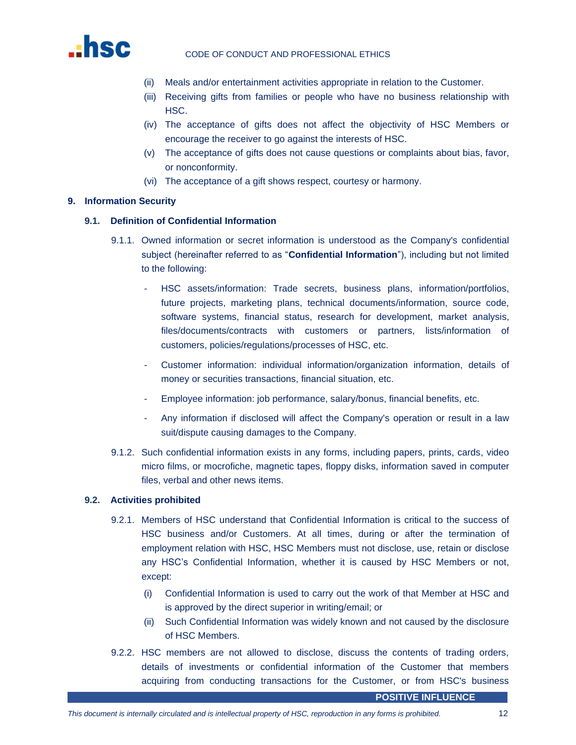

- (ii) Meals and/or entertainment activities appropriate in relation to the Customer.
- (iii) Receiving gifts from families or people who have no business relationship with HSC.
- (iv) The acceptance of gifts does not affect the objectivity of HSC Members or encourage the receiver to go against the interests of HSC.
- (v) The acceptance of gifts does not cause questions or complaints about bias, favor, or nonconformity.
- (vi) The acceptance of a gift shows respect, courtesy or harmony.

# <span id="page-11-0"></span>**9. Information Security**

# **9.1. Definition of Confidential Information**

- 9.1.1. Owned information or secret information is understood as the Company's confidential subject (hereinafter referred to as "**Confidential Information**"), including but not limited to the following:
	- HSC assets/information: Trade secrets, business plans, information/portfolios, future projects, marketing plans, technical documents/information, source code, software systems, financial status, research for development, market analysis, files/documents/contracts with customers or partners, lists/information of customers, policies/regulations/processes of HSC, etc.
	- Customer information: individual information/organization information, details of money or securities transactions, financial situation, etc.
	- Employee information: job performance, salary/bonus, financial benefits, etc.
	- Any information if disclosed will affect the Company's operation or result in a law suit/dispute causing damages to the Company.
- 9.1.2. Such confidential information exists in any forms, including papers, prints, cards, video micro films, or mocrofiche, magnetic tapes, floppy disks, information saved in computer files, verbal and other news items.

# **9.2. Activities prohibited**

- 9.2.1. Members of HSC understand that Confidential Information is critical to the success of HSC business and/or Customers. At all times, during or after the termination of employment relation with HSC, HSC Members must not disclose, use, retain or disclose any HSC's Confidential Information, whether it is caused by HSC Members or not, except:
	- (i) Confidential Information is used to carry out the work of that Member at HSC and is approved by the direct superior in writing/email; or
	- (ii) Such Confidential Information was widely known and not caused by the disclosure of HSC Members.
- 9.2.2. HSC members are not allowed to disclose, discuss the contents of trading orders, details of investments or confidential information of the Customer that members acquiring from conducting transactions for the Customer, or from HSC's business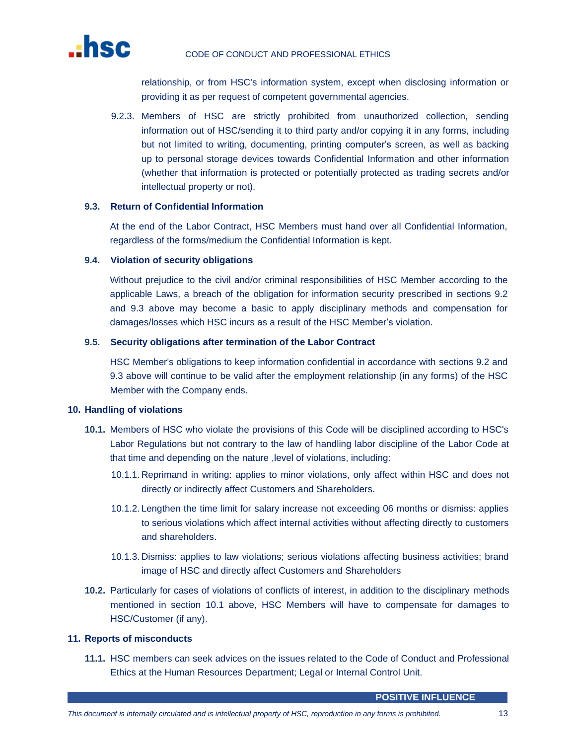

relationship, or from HSC's information system, except when disclosing information or providing it as per request of competent governmental agencies.

9.2.3. Members of HSC are strictly prohibited from unauthorized collection, sending information out of HSC/sending it to third party and/or copying it in any forms, including but not limited to writing, documenting, printing computer's screen, as well as backing up to personal storage devices towards Confidential Information and other information (whether that information is protected or potentially protected as trading secrets and/or intellectual property or not).

# **9.3. Return of Confidential Information**

At the end of the Labor Contract, HSC Members must hand over all Confidential Information, regardless of the forms/medium the Confidential Information is kept.

# **9.4. Violation of security obligations**

Without prejudice to the civil and/or criminal responsibilities of HSC Member according to the applicable Laws, a breach of the obligation for information security prescribed in sections 9.2 and 9.3 above may become a basic to apply disciplinary methods and compensation for damages/losses which HSC incurs as a result of the HSC Member's violation.

# **9.5. Security obligations after termination of the Labor Contract**

HSC Member's obligations to keep information confidential in accordance with sections 9.2 and 9.3 above will continue to be valid after the employment relationship (in any forms) of the HSC Member with the Company ends.

# <span id="page-12-0"></span>**10. Handling of violations**

- **10.1.** Members of HSC who violate the provisions of this Code will be disciplined according to HSC's Labor Regulations but not contrary to the law of handling labor discipline of the Labor Code at that time and depending on the nature , level of violations, including:
	- 10.1.1. Reprimand in writing: applies to minor violations, only affect within HSC and does not directly or indirectly affect Customers and Shareholders.
	- 10.1.2. Lengthen the time limit for salary increase not exceeding 06 months or dismiss: applies to serious violations which affect internal activities without affecting directly to customers and shareholders.
	- 10.1.3. Dismiss: applies to law violations; serious violations affecting business activities; brand image of HSC and directly affect Customers and Shareholders
- **10.2.** Particularly for cases of violations of conflicts of interest, in addition to the disciplinary methods mentioned in section 10.1 above, HSC Members will have to compensate for damages to HSC/Customer (if any).

# <span id="page-12-1"></span>**11. Reports of misconducts**

**11.1.** HSC members can seek advices on the issues related to the Code of Conduct and Professional Ethics at the Human Resources Department; Legal or Internal Control Unit.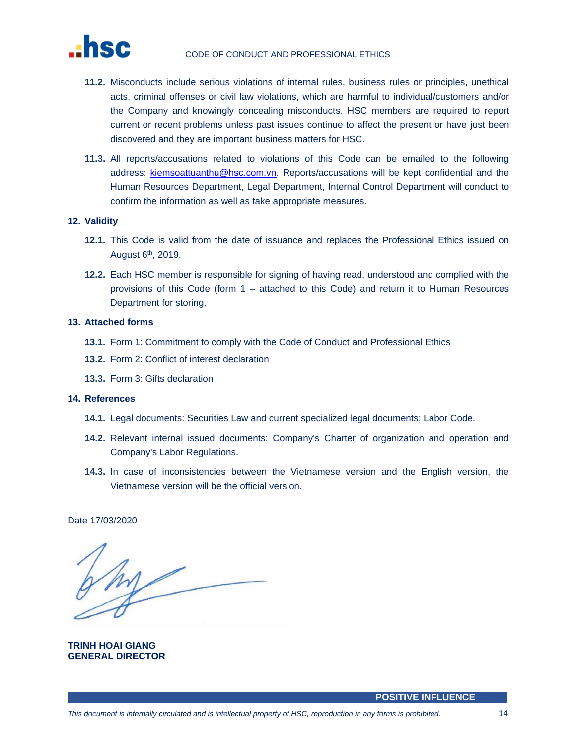

- **11.2.** Misconducts include serious violations of internal rules, business rules or principles, unethical acts, criminal offenses or civil law violations, which are harmful to individual/customers and/or the Company and knowingly concealing misconducts. HSC members are required to report current or recent problems unless past issues continue to affect the present or have just been discovered and they are important business matters for HSC.
- **11.3.** All reports/accusations related to violations of this Code can be emailed to the following address: [kiemsoattuanthu@hsc.com.vn.](mailto:kiemsoattuanthu@hsc.com.vn) Reports/accusations will be kept confidential and the Human Resources Department, Legal Department, Internal Control Department will conduct to confirm the information as well as take appropriate measures.

#### <span id="page-13-0"></span>**12. Validity**

- **12.1.** This Code is valid from the date of issuance and replaces the Professional Ethics issued on August 6<sup>th</sup>, 2019.
- **12.2.** Each HSC member is responsible for signing of having read, understood and complied with the provisions of this Code (form 1 – attached to this Code) and return it to Human Resources Department for storing.

#### <span id="page-13-1"></span>**13. Attached forms**

- **13.1.** Form 1: Commitment to comply with the Code of Conduct and Professional Ethics
- **13.2.** Form 2: Conflict of interest declaration
- **13.3.** Form 3: Gifts declaration

# <span id="page-13-2"></span>**14. References**

- **14.1.** Legal documents: Securities Law and current specialized legal documents; Labor Code.
- **14.2.** Relevant internal issued documents: Company's Charter of organization and operation and Company's Labor Regulations.
- **14.3.** In case of inconsistencies between the Vietnamese version and the English version, the Vietnamese version will be the official version.

Date 17/03/2020

**TRINH HOAI GIANG GENERAL DIRECTOR**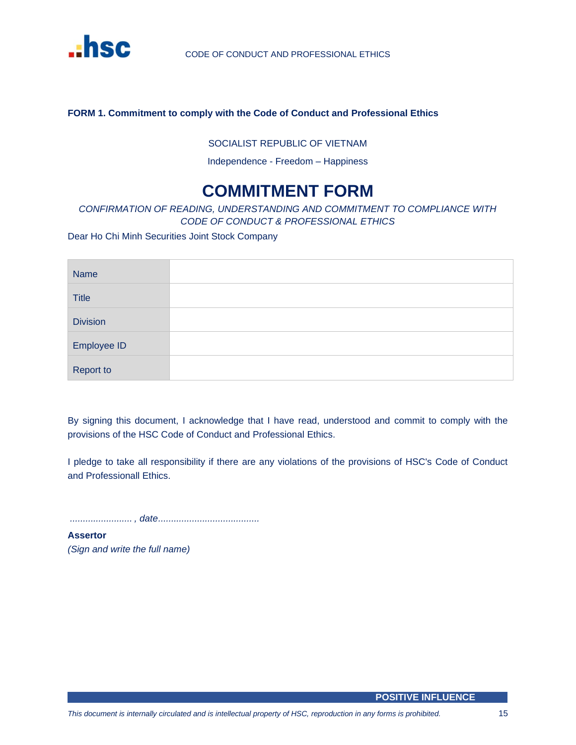

# <span id="page-14-0"></span>**FORM 1. Commitment to comply with the Code of Conduct and Professional Ethics**

# SOCIALIST REPUBLIC OF VIETNAM

Independence - Freedom – Happiness

# **COMMITMENT FORM**

# *CONFIRMATION OF READING, UNDERSTANDING AND COMMITMENT TO COMPLIANCE WITH CODE OF CONDUCT & PROFESSIONAL ETHICS*

Dear Ho Chi Minh Securities Joint Stock Company

| <b>Name</b>      |  |
|------------------|--|
| <b>Title</b>     |  |
| <b>Division</b>  |  |
| Employee ID      |  |
| <b>Report to</b> |  |

By signing this document, I acknowledge that I have read, understood and commit to comply with the provisions of the HSC Code of Conduct and Professional Ethics.

I pledge to take all responsibility if there are any violations of the provisions of HSC's Code of Conduct and Professionall Ethics.

*........................ , date.......................................*

**Assertor** *(Sign and write the full name)*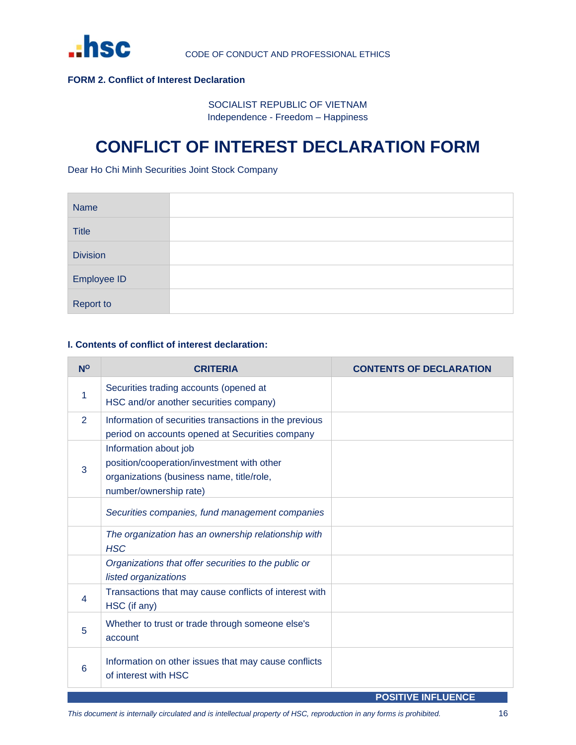

# <span id="page-15-0"></span>**FORM 2. Conflict of Interest Declaration**

SOCIALIST REPUBLIC OF VIETNAM Independence - Freedom – Happiness

# **CONFLICT OF INTEREST DECLARATION FORM**

Dear Ho Chi Minh Securities Joint Stock Company

| <b>Name</b>     |  |
|-----------------|--|
| <b>Title</b>    |  |
| <b>Division</b> |  |
| Employee ID     |  |
| Report to       |  |

# **I. Contents of conflict of interest declaration:**

| $N^{\circ}$ | <b>CRITERIA</b>                                                                                                                            | <b>CONTENTS OF DECLARATION</b> |
|-------------|--------------------------------------------------------------------------------------------------------------------------------------------|--------------------------------|
| 1           | Securities trading accounts (opened at<br>HSC and/or another securities company)                                                           |                                |
| 2           | Information of securities transactions in the previous<br>period on accounts opened at Securities company                                  |                                |
| 3           | Information about job<br>position/cooperation/investment with other<br>organizations (business name, title/role,<br>number/ownership rate) |                                |
|             | Securities companies, fund management companies                                                                                            |                                |
|             | The organization has an ownership relationship with<br><b>HSC</b>                                                                          |                                |
|             | Organizations that offer securities to the public or<br>listed organizations                                                               |                                |
| 4           | Transactions that may cause conflicts of interest with<br>HSC (if any)                                                                     |                                |
| 5           | Whether to trust or trade through someone else's<br>account                                                                                |                                |
| 6           | Information on other issues that may cause conflicts<br>of interest with HSC                                                               |                                |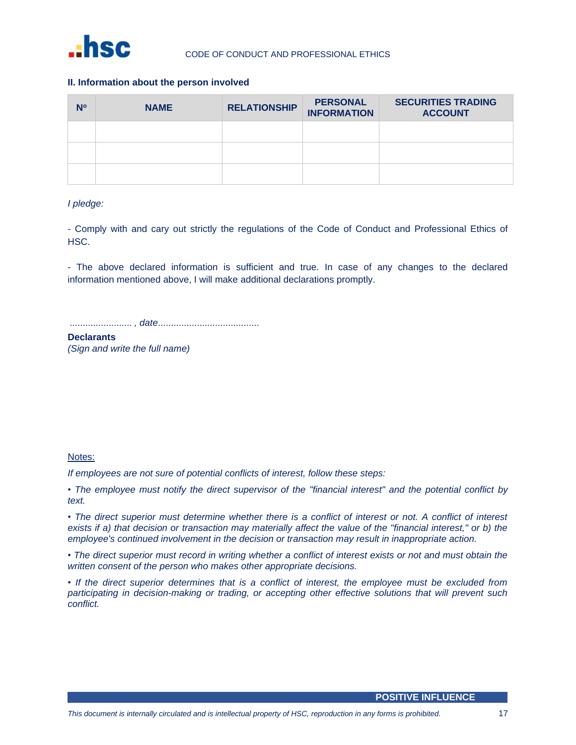

# **II. Information about the person involved**

| N° | <b>NAME</b> | <b>RELATIONSHIP</b> | <b>PERSONAL</b><br><b>INFORMATION</b> | <b>SECURITIES TRADING</b><br><b>ACCOUNT</b> |
|----|-------------|---------------------|---------------------------------------|---------------------------------------------|
|    |             |                     |                                       |                                             |
|    |             |                     |                                       |                                             |
|    |             |                     |                                       |                                             |

# *I pledge:*

- Comply with and cary out strictly the regulations of the Code of Conduct and Professional Ethics of HSC.

- The above declared information is sufficient and true. In case of any changes to the declared information mentioned above, I will make additional declarations promptly.

*........................ , date.......................................*

**Declarants**  *(Sign and write the full name)*

# Notes:

*If employees are not sure of potential conflicts of interest, follow these steps:*

*• The employee must notify the direct supervisor of the "financial interest" and the potential conflict by text.*

*• The direct superior must determine whether there is a conflict of interest or not. A conflict of interest exists if a) that decision or transaction may materially affect the value of the "financial interest," or b) the employee's continued involvement in the decision or transaction may result in inappropriate action.*

*• The direct superior must record in writing whether a conflict of interest exists or not and must obtain the written consent of the person who makes other appropriate decisions.*

*• If the direct superior determines that is a conflict of interest, the employee must be excluded from participating in decision-making or trading, or accepting other effective solutions that will prevent such conflict.*